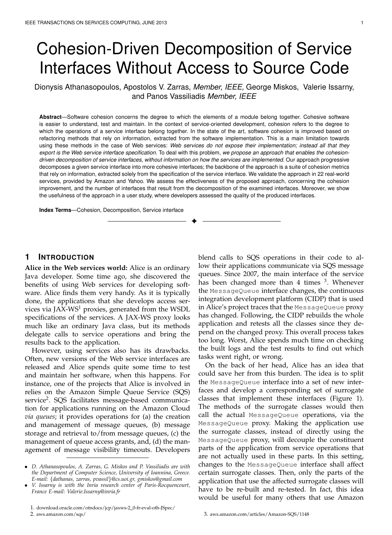# Cohesion-Driven Decomposition of Service Interfaces Without Access to Source Code

Dionysis Athanasopoulos, Apostolos V. Zarras, *Member, IEEE,* George Miskos, Valerie Issarny, and Panos Vassiliadis *Member, IEEE*

**Abstract**—Software cohesion concerns the degree to which the elements of a module belong together. Cohesive software is easier to understand, test and maintain. In the context of service-oriented development, cohesion refers to the degree to which the operations of a service interface belong together. In the state of the art, software cohesion is improved based on refactoring methods that rely on information, extracted from the software implementation. This is a main limitation towards using these methods in the case of Web services: *Web services do not expose their implementation; instead all that they export is the Web service interface specification*. To deal with this problem, *we propose an approach that enables the cohesiondriven decomposition of service interfaces, without information on how the services are implemented*. Our approach progressive decomposes a given service interface into more cohesive interfaces; the backbone of the approach is a suite of cohesion metrics that rely on information, extracted solely from the specification of the service interface. We validate the approach in 22 real-world services, provided by Amazon and Yahoo. We assess the effectiveness of the proposed approach, concerning the cohesion improvement, and the number of interfaces that result from the decomposition of the examined interfaces. Moreover, we show the usefulness of the approach in a user study, where developers assessed the quality of the produced interfaces.

✦

**Index Terms**—Cohesion, Decomposition, Service interface

# **1 INTRODUCTION**

**Alice in the Web services world:** Alice is an ordinary Java developer. Some time ago, she discovered the benefits of using Web services for developing software. Alice finds them very handy. As it is typically done, the applications that she develops access services via JAX-WS<sup>1</sup> proxies, generated from the WSDL specifications of the services. A JAX-WS proxy looks much like an ordinary Java class, but its methods delegate calls to service operations and bring the results back to the application.

However, using services also has its drawbacks. Often, new versions of the Web service interfaces are released and Alice spends quite some time to test and maintain her software, when this happens. For instance, one of the projects that Alice is involved in relies on the Amazon Simple Queue Service (SQS) service<sup>2</sup>. SQS facilitates message-based communication for applications running on the Amazon Cloud *via queues*; it provides operations for (a) the creation and management of message queues, (b) message storage and retrieval to/from message queues, (c) the management of queue access grants, and, (d) the management of message visibility timeouts. Developers blend calls to SQS operations in their code to allow their applications communicate via SQS message queues. Since 2007, the main interface of the service has been changed more than 4 times <sup>3</sup>. Whenever the MessageQueue interface changes, the continuous integration development platform (CIDP) that is used in Alice's project traces that the MessageQueue proxy has changed. Following, the CIDP rebuilds the whole application and retests all the classes since they depend on the changed proxy. This overall process takes too long. Worst, Alice spends much time on checking the built logs and the test results to find out which tasks went right, or wrong.

On the back of her head, Alice has an idea that could save her from this burden. The idea is to split the MessageQueue interface into a set of new interfaces and develop a corresponding set of surrogate classes that implement these interfaces (Figure 1). The methods of the surrogate classes would then call the actual MessageQueue operations, via the MessageQueue proxy. Making the application use the surrogate classes, instead of directly using the MessageQueue proxy, will decouple the constituent parts of the application from service operations that are not actually used in these parts. In this setting, changes to the MessageQueue interface shall affect certain surrogate classes. Then, only the parts of the application that use the affected surrogate classes will have to be re-built and re-tested. In fact, this idea would be useful for many others that use Amazon

*<sup>•</sup> D. Athanasopoulos, A. Zarras, G. Miskos and P. Vassiliadis are with the Department of Computer Science, University of Ioannina, Greece. E-mail: {dathanas, zarras, pvassil}@cs.uoi.gr, gmiskos@gmail.com*

*<sup>•</sup> V. Issarny is with the Inria research center of Paris-Rocquencourt, France E-mail: Valerie.Issarny@inria.fr*

<sup>1.</sup> download.oracle.com/otndocs/jcp/jaxws-2 0-fr-eval-oth-JSpec/ 2. aws.amazon.com/sqs/

<sup>3.</sup> aws.amazon.com/articles/Amazon-SQS/1148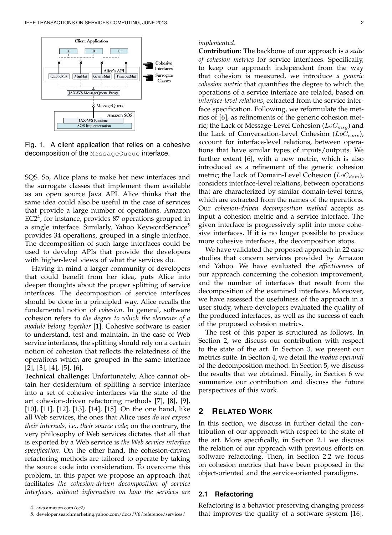

Fig. 1. A client application that relies on a cohesive decomposition of the MessageQueue interface.

SQS. So, Alice plans to make her new interfaces and the surrogate classes that implement them available as an open source Java API. Alice thinks that the same idea could also be useful in the case of services that provide a large number of operations. Amazon EC2<sup>4</sup>, for instance, provides 87 operations grouped in a single interface. Similarly, Yahoo KeywordService<sup>5</sup> provides 34 operations, grouped in a single interface. The decomposition of such large interfaces could be used to develop APIs that provide the developers with higher-level views of what the services do.

Having in mind a larger community of developers that could benefit from her idea, puts Alice into deeper thoughts about the proper splitting of service interfaces. The decomposition of service interfaces should be done in a principled way. Alice recalls the fundamental notion of *cohesion*. In general, software cohesion refers to *the degree to which the elements of a module belong together* [1]. Cohesive software is easier to understand, test and maintain. In the case of Web service interfaces, the splitting should rely on a certain notion of cohesion that reflects the relatedness of the operations which are grouped in the same interface  $[2]$ ,  $[3]$ ,  $[4]$ ,  $[5]$ ,  $[6]$ .

**Technical challenge:** Unfortunately, Alice cannot obtain her desideratum of splitting a service interface into a set of cohesive interfaces via the state of the art cohesion-driven refactoring methods [7], [8], [9], [10], [11], [12], [13], [14], [15]. On the one hand, like all Web services, the ones that Alice uses *do not expose their internals, i.e., their source code*; on the contrary, the very philosophy of Web services dictates that all that is exported by a Web service is *the Web service interface specification*. On the other hand, the cohesion-driven refactoring methods are tailored to operate by taking the source code into consideration. To overcome this problem, in this paper we propose an approach that facilitates *the cohesion-driven decomposition of service interfaces, without information on how the services are*

#### 4. aws.amazon.com/ec2/

#### *implemented*.

**Contribution**: The backbone of our approach is *a suite of cohesion metrics* for service interfaces. Specifically, to keep our approach independent from the way that cohesion is measured, we introduce *a generic cohesion metric* that quantifies the degree to which the operations of a service interface are related, based on *interface-level relations*, extracted from the service interface specification. Following, we reformulate the metrics of [6], as refinements of the generic cohesion metric; the Lack of Message-Level Cohesion (*LoCmsg*) and the Lack of Conversation-Level Cohesion (*LoCconv*), account for interface-level relations, between operations that have similar types of inputs/outputs. We further extent [6], with a new metric, which is also introduced as a refinement of the generic cohesion metric; the Lack of Domain-Level Cohesion (*LoCdom*), considers interface-level relations, between operations that are characterized by similar domain-level terms, which are extracted from the names of the operations. Our *cohesion-driven decomposition method* accepts as input a cohesion metric and a service interface. The given interface is progressively split into more cohesive interfaces. If it is no longer possible to produce more cohesive interfaces, the decomposition stops.

We have validated the proposed approach in 22 case studies that concern services provided by Amazon and Yahoo. We have evaluated the *effectiveness* of our approach concerning the cohesion improvement, and the number of interfaces that result from the decomposition of the examined interfaces. Moreover, we have assessed the usefulness of the approach in a user study, where developers evaluated the quality of the produced interfaces, as well as the success of each of the proposed cohesion metrics.

The rest of this paper is structured as follows. In Section 2, we discuss our contribution with respect to the state of the art. In Section 3, we present our metrics suite. In Section 4, we detail the *modus operandi* of the decomposition method. In Section 5, we discuss the results that we obtained. Finally, in Section 6 we summarize our contribution and discuss the future perspectives of this work.

# **2 RELATED WORK**

In this section, we discuss in further detail the contribution of our approach with respect to the state of the art. More specifically, in Section 2.1 we discuss the relation of our approach with previous efforts on software refactoring. Then, in Section 2.2 we focus on cohesion metrics that have been proposed in the object-oriented and the service-oriented paradigms.

## **2.1 Refactoring**

Refactoring is a behavior preserving changing process that improves the quality of a software system [16].

<sup>5.</sup> developer.searchmarketing.yahoo.com/docs/V6/reference/services/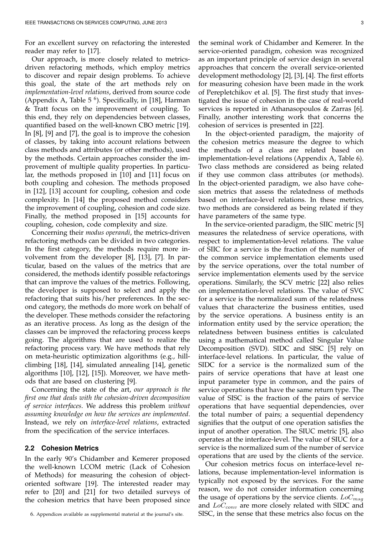For an excellent survey on refactoring the interested reader may refer to [17].

Our approach, is more closely related to metricsdriven refactoring methods, which employ metrics to discover and repair design problems. To achieve this goal, the state of the art methods rely on *implementation-level relations*, derived from source code (Appendix A, Table  $5<sup>6</sup>$ ). Specifically, in [18], Harman & Tratt focus on the improvement of coupling. To this end, they rely on dependencies between classes, quantified based on the well-known CBO metric [19]. In [8], [9] and [7], the goal is to improve the cohesion of classes, by taking into account relations between class methods and attributes (or other methods), used by the methods. Certain approaches consider the improvement of multiple quality properties. In particular, the methods proposed in [10] and [11] focus on both coupling and cohesion. The methods proposed in [12], [13] account for coupling, cohesion and code complexity. In [14] the proposed method considers the improvement of coupling, cohesion and code size. Finally, the method proposed in [15] accounts for coupling, cohesion, code complexity and size.

Concerning their *modus operandi*, the metrics-driven refactoring methods can be divided in two categories. In the first category, the methods require more involvement from the developer [8], [13], [7]. In particular, based on the values of the metrics that are considered, the methods identify possible refactorings that can improve the values of the metrics. Following, the developer is supposed to select and apply the refactoring that suits his/her preferences. In the second category, the methods do more work on behalf of the developer. These methods consider the refactoring as an iterative process. As long as the design of the classes can be improved the refactoring process keeps going. The algorithms that are used to realize the refactoring process vary. We have methods that rely on meta-heuristic optimization algorithms (e.g., hillclimbing [18], [14], simulated annealing [14], genetic algorithms [10], [12], [15]). Moreover, we have methods that are based on clustering [9].

Concerning the state of the art, *our approach is the first one that deals with the cohesion-driven decomposition of service interfaces*. We address this problem *without assuming knowledge on how the services are implemented*. Instead, we rely on *interface-level relations*, extracted from the specification of the service interfaces.

## **2.2 Cohesion Metrics**

In the early 90's Chidamber and Kemerer proposed the well-known LCOM metric (Lack of Cohesion of Methods) for measuring the cohesion of objectoriented software [19]. The interested reader may refer to [20] and [21] for two detailed surveys of the cohesion metrics that have been proposed since

6. Appendices available as supplemental material at the journal's site.

the seminal work of Chidamber and Kemerer. In the service-oriented paradigm, cohesion was recognized as an important principle of service design in several approaches that concern the overall service-oriented development methodology [2], [3], [4]. The first efforts for measuring cohesion have been made in the work of Perepletchikov et al. [5]. The first study that investigated the issue of cohesion in the case of real-world services is reported in Athanasopoulos & Zarras [6]. Finally, another interesting work that concerns the cohesion of services is presented in [22].

In the object-oriented paradigm, the majority of the cohesion metrics measure the degree to which the methods of a class are related based on implementation-level relations (Appendix A, Table 6). Two class methods are considered as being related if they use common class attributes (or methods). In the object-oriented paradigm, we also have cohesion metrics that assess the relatedness of methods based on interface-level relations. In these metrics, two methods are considered as being related if they have parameters of the same type.

In the service-oriented paradigm, the SIIC metric [5] measures the relatedness of service operations, with respect to implementation-level relations. The value of SIIC for a service is the fraction of the number of the common service implementation elements used by the service operations, over the total number of service implementation elements used by the service operations. Similarly, the SCV metric [22] also relies on implementation-level relations. The value of SVC for a service is the normalized sum of the relatedness values that characterize the business entities, used by the service operations. A business entity is an information entity used by the service operation; the relatedness between business entities is calculated using a mathematical method called Singular Value Decomposition (SVD). SIDC and SISC [5] rely on interface-level relations. In particular, the value of SIDC for a service is the normalized sum of the pairs of service operations that have at least one input parameter type in common, and the pairs of service operations that have the same return type. The value of SISC is the fraction of the pairs of service operations that have sequential dependencies, over the total number of pairs; a sequential dependency signifies that the output of one operation satisfies the input of another operation. The SIUC metric [5], also operates at the interface-level. The value of SIUC for a service is the normalized sum of the number of service operations that are used by the clients of the service.

Our cohesion metrics focus on interface-level relations, because implementation-level information is typically not exposed by the services. For the same reason, we do not consider information concerning the usage of operations by the service clients. *LoCmsg* and *LoCconv* are more closely related with SIDC and SISC, in the sense that these metrics also focus on the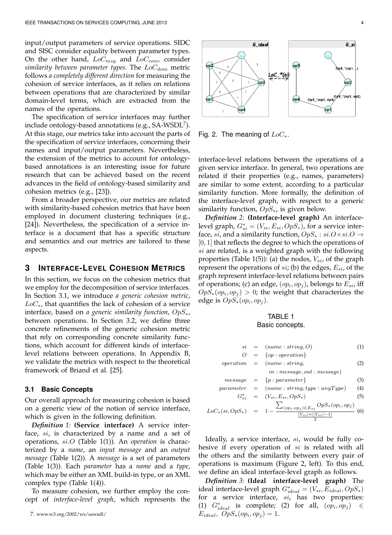input/output parameters of service operations. SIDC and SISC consider equality between parameter types. On the other hand, *LoCmsg* and *LoCconv* consider *similarity between parameter types*. The *LoCdom* metric follows *a completely different direction* for measuring the cohesion of service interfaces, as it relies on relations between operations that are characterized by similar domain-level terms, which are extracted from the names of the operations.

The specification of service interfaces may further include ontology-based annotations (e.g.,  $SA\text{-}WSDL^7$ ). At this stage, our metrics take into account the parts of the specification of service interfaces, concerning their names and input/output parameters. Nevertheless, the extension of the metrics to account for ontologybased annotations is an interesting issue for future research that can be achieved based on the recent advances in the field of ontology-based similarity and cohesion metrics (e.g., [23]).

From a broader perspective, our metrics are related with similarity-based cohesion metrics that have been employed in document clustering techniques (e.g., [24]). Nevertheless, the specification of a service interface is a document that has a specific structure and semantics and our metrics are tailored to these aspects.

# **3 INTERFACE-LEVEL COHESION METRICS**

In this section, we focus on the cohesion metrics that we employ for the decomposition of service interfaces. In Section 3.1, we introduce *a generic cohesion metric*, *LoC∗*, that quantifies the lack of cohesion of a service interface, based on *a generic similarity function*, *OpS∗*, between operations. In Section 3.2, we define three concrete refinements of the generic cohesion metric that rely on corresponding concrete similarity functions, which account for different kinds of interfacelevel relations between operations. In Appendix B, we validate the metrics with respect to the theoretical framework of Briand et al. [25].

#### **3.1 Basic Concepts**

Our overall approach for measuring cohesion is based on a generic view of the notion of service interface, which is given in the following definition.

*Definition 1:* **(Service interface)** A service interface, *si*, is characterized by a name and a set of operations, *si.O* (Table 1(1)). An *operation* is characterized by a *name*, an *input message* and an *output message* (Table 1(2)). A *message* is a set of parameters (Table 1(3)). Each *parameter* has a *name* and a *type*, which may be either an XML build-in type, or an XML complex type (Table 1(4)).

To measure cohesion, we further employ the concept of *interface-level graph*, which represents the





Fig. 2. The meaning of *LoC∗*.

interface-level relations between the operations of a given service interface. In general, two operations are related if their properties (e.g., names, parameters) are similar to some extent, according to a particular similarity function. More formally, the definition of the interface-level graph, with respect to a generic similarity function, *OpS∗*, is given below.

*Definition 2:* **(Interface-level graph)** An interfacelevel graph,  $G_{si}^* = (V_{si}, E_{si}, OpS_*)$ , for a service interface, *si*, and a similarity function, *OpS<sup>∗</sup>* : *si.O×si.O →* [0*,* 1] that reflects the degree to which the operations of *si* are related, is a weighted graph with the following properties (Table 1(5)): (a) the nodes, *Vsi*, of the graph represent the operations of *si*; (b) the edges, *Esi*, of the graph represent interface-level relations between pairs of operations; (c) an edge,  $(op_i, op_j)$ , belongs to  $E_{si}$ , iff  $OpS_*(op_i, op_j) > 0$ ; the weight that characterizes the edge is  $OpS_*(op_i, op_j)$ .

## TABLE 1 Basic concepts.

$$
si = (name: string, O) \tag{1}
$$

$$
O = \{op: operation\}
$$
  
operation = (name: string, (2)

$$
in: message, out: message) \\
$$

$$
message = \{p : parameter\} \tag{3}
$$

$$
parameter = (name: string, type: anyType)
$$
(4)  

$$
G^* = (V_4, E_4, OnS_4)
$$
(5)

$$
G_{si}^{*} = (V_{si}, E_{si}, OpS_{*})
$$
(5)  

$$
LoC_{*}(si, OpS_{*}) = 1 - \frac{\sum_{(op_{i}, op_{j}) \in E_{si}} OpS_{*}(op_{i}, op_{j})}{\frac{|V_{si}| * (|V_{si}| - 1)}{2}}
$$
(6)

Ideally, a service interface, *si*, would be fully cohesive if every operation of *si* is related with all the others and the similarity between every pair of operations is maximum (Figure 2, left). To this end, we define an ideal interface-level graph as follows.

*Definition 3:* **(Ideal interface-level graph)** The  $i$ deal interface-level graph  $G^*_{ideal} = (V_{si}, E_{ideal}, OpS_*$ for a service interface, *si*, has two properties: (1)  $G^*_{ideal}$  is complete; (2) for all,  $(op_i, op_j)$  ∈  $E_{ideal}$ *,*  $OpS_{*}(op_{i}, op_{j}) = 1$ .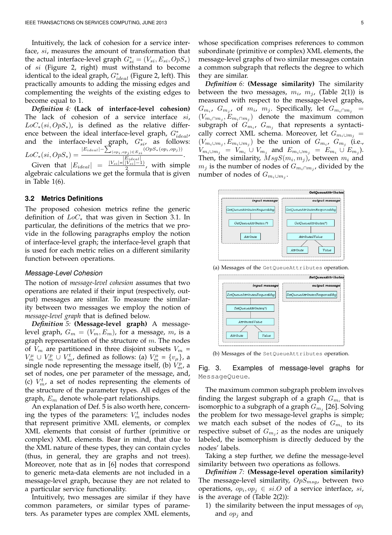Intuitively, the lack of cohesion for a service interface, *si*, measures the amount of transformation that the actual interface-level graph  $G_{si}^* = (V_{si}, E_{si}, OpS_*)$ of *si* (Figure 2, right) must withstand to become identical to the ideal graph, *G<sup>∗</sup> ideal* (Figure 2, left). This practically amounts to adding the missing edges and complementing the weights of the existing edges to become equal to 1.

*Definition 4:* **(Lack of interface-level cohesion)** The lack of cohesion of a service interface *si*, *LoC∗*(*si, OpS∗*), is defined as the relative difference between the ideal interface-level graph,  $G^*_{ideal}$ , and the interface-level graph,  $G_{si}^*$ , as follows:  $LoC$ <sup>\*</sup>(*si*,  $OpS$ <sup>\*</sup>) =  $|E_{ideal}|$  −  $\sum_{(op_i, op_j) \in E_{si}}^{q} (OpS_*(op_i, op_j))$  $\frac{op_j \cup E_s}{|E_{ideal}|}$ . Given that  $|E_{ideal}|$  =  $\frac{|V_{si}|*(|V_{si}|-1)}{2}$ , with simple

algebraic calculations we get the formula that is given in Table 1(6).

#### **3.2 Metrics Definitions**

The proposed cohesion metrics refine the generic definition of *LoC<sup>∗</sup>* that was given in Section 3.1. In particular, the definitions of the metrics that we provide in the following paragraphs employ the notion of interface-level graph; the interface-level graph that is used for each metric relies on a different similarity function between operations.

#### *Message-Level Cohesion*

The notion of *message-level cohesion* assumes that two operations are related if their input (respectively, output) messages are similar. To measure the similarity between two messages we employ the notion of *message-level graph* that is defined below.

*Definition 5:* **(Message-level graph)** A messagelevel graph,  $G_m = (V_m, E_m)$ , for a message, m, is a graph representation of the structure of *m*. The nodes of  $V_m$  are partitioned in three disjoint subsets  $V_m =$ *V*<sup>*m*</sup> *∪ V*<sup>*m*</sup><sub>*m*</sub>, defined as follows: (a) *V*<sup>*µ*</sup><sub>*m*</sub> = {*v*<sub>*µ*</sub>}, a single node representing the message itself, (b)  $V_m^p$ , a set of nodes, one per parameter of the message, and, (c)  $V_m^t$ , a set of nodes representing the elements of the structure of the parameter types. All edges of the graph, *E<sup>m</sup>* denote whole-part relationships.

An explanation of Def. 5 is also worth here, concerning the types of the parameters:  $V_m^t$  includes nodes that represent primitive XML elements, or complex XML elements that consist of further (primitive or complex) XML elements. Bear in mind, that due to the XML nature of these types, they can contain cycles (thus, in general, they are graphs and not trees). Moreover, note that as in [6] nodes that correspond to generic meta-data elements are not included in a message-level graph, because they are not related to a particular service functionality.

Intuitively, two messages are similar if they have common parameters, or similar types of parameters. As parameter types are complex XML elements,

whose specification comprises references to common subordinate (primitive or complex) XML elements, the message-level graphs of two similar messages contain a common subgraph that reflects the degree to which they are similar.

*Definition 6:* **(Message similarity)** The similarity between the two messages,  $m_i$ ,  $m_j$ , (Table 2(1)) is measured with respect to the message-level graphs,  $G_{m_i}$ ,  $G_{m_j}$ , of  $m_i$ ,  $m_j$ . Specifically, let  $G_{m_i \cap m_j}$  =  $(V_{m_i \cap m_j}, E_{m_i \cap m_j})$  denote the maximum common subgraph of  $G_{m_i}$ ,  $G_{m_j}$  that represents a syntactically correct XML schema. Moreover, let  $G_{m_i \cup m_j}$  =  $(V_{m_i \cup m_j}, E_{m_i \cup m_j})$  be the union of  $G_{m_i}$ ,  $G_{m_j}$  (i.e.,  $V_{m_i \cup m_j} = V_{m_i} \cup V_{m_j}$  and  $E_{m_i \cup m_j} = E_{m_i} \cup E_{m_j}$ ). Then, the similarity,  $MsgS(m_i, m_j)$ , between  $m_i$  and  $m_j$  is the number of nodes of  $G_{m_i \cap m_j}$ , divided by the number of nodes of  $G_{m_i \cup m_j}$ .



(a) Messages of the GetQueueAttributes operation.



(b) Messages of the SetQueueAttributes operation.

Fig. 3. Examples of message-level graphs for MessageQueue.

The maximum common subgraph problem involves finding the largest subgraph of a graph  $G_{m_i}$  that is isomorphic to a subgraph of a graph *G<sup>m</sup><sup>j</sup>* [26]. Solving the problem for two message-level graphs is simple; we match each subset of the nodes of  $G_{m_i}$  to its respective subset of  $G_{m_j}$ ; as the nodes are uniquely labeled, the isomorphism is directly deduced by the nodes' labels.

Taking a step further, we define the message-level similarity between two operations as follows.

*Definition 7:* **(Message-level operation similarity)** The message-level similarity, *OpSmsg*, between two operations,  $op_i, op_j \in si.O$  of a service interface,  $si$ , is the average of (Table 2(2)):

1) the similarity between the input messages of *op<sup>i</sup>* and *op<sup>j</sup>* and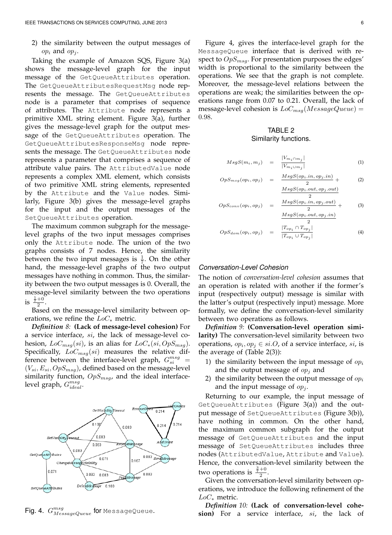2) the similarity between the output messages of  $op_i$  and  $op_j$ .

Taking the example of Amazon SQS, Figure 3(a) shows the message-level graph for the input message of the GetQueueAttributes operation. The GetQueueAttributesRequestMsq node represents the message. The GetQueueAttributes node is a parameter that comprises of sequence of attributes. The Attribute node represents a primitive XML string element. Figure 3(a), further gives the message-level graph for the output message of the GetQueueAttributes operation. The GetQueueAttributesResponseMsg node represents the message. The GetQueueAttributes node represents a parameter that comprises a sequence of attribute value pairs. The AttributedValue node represents a complex XML element, which consists of two primitive XML string elements, represented by the Attribute and the Value nodes. Similarly, Figure 3(b) gives the message-level graphs for the input and the output messages of the SetQueueAttributes operation.

The maximum common subgraph for the messagelevel graphs of the two input messages comprises only the Attribute node. The union of the two graphs consists of 7 nodes. Hence, the similarity between the two input messages is  $\frac{1}{7}$ . On the other hand, the message-level graphs of the two output messages have nothing in common. Thus, the similarity between the two output messages is 0. Overall, the message-level similarity between the two operations is  $\frac{\frac{1}{7}+0}{2}$ .

Based on the message-level similarity between operations, we refine the *LoC<sup>∗</sup>* metric.

*Definition 8:* **(Lack of message-level cohesion)** For a service interface, *si*, the lack of message-level cohesion, *LoCmsg*(*si*), is an alias for *LoC∗*(*si, OpSmsg*). Specifically, *LoCmsg*(*si*) measures the relative difference between the interface-level graph,  $G_{si}^{msg}$  = (*Vsi, Esi, OpSmsg*), defined based on the message-level similarity function, *OpSmsg*, and the ideal interfacelevel graph,  $G^{msg}_{ideal}$ .



 $\operatorname{\sf Fig. 4.}$   $G^{msg}_{MessageQueue}$  for <code>MessageQueue.</code>

Figure 4, gives the interface-level graph for the MessageQueue interface that is derived with respect to *OpSmsg*. For presentation purposes the edges' width is proportional to the similarity between the operations. We see that the graph is not complete. Moreover, the message-level relations between the operations are weak; the similarities between the operations range from 0.07 to 0.21. Overall, the lack of message-level cohesion is *LoCmsg*(*MessageQueue*) = 0*.*98.

# TABLE 2 Similarity functions.

$$
MsgS(m_i, m_j) = \frac{|V_{m_i \cap m_j}|}{|V_{m_i \cup m_j}|} \tag{1}
$$

$$
OpS_{msg}(op_i, op_j) = \frac{MsgS(op_i.in, op_j.in)}{2} + (2)
$$
  

$$
MsgS(op_i.out, op_j.out)
$$

$$
OpS_{conv}(op_i, op_j) = \frac{MsgS(op_i.in, op_j.out)}{2} + (3)
$$

*MsgS*(*opi.out, op<sup>j</sup> .in*)

$$
OpS_{dom}(op_i, op_j) = \frac{|T_{op_i} \cap T_{op_j}|}{|T_{op_i} \cup T_{op_j}|} \tag{4}
$$

### *Conversation-Level Cohesion*

The notion of *conversation-level cohesion* assumes that an operation is related with another if the former's input (respectively output) message is similar with the latter's output (respectively input) message. More formally, we define the conversation-level similarity between two operations as follows.

*Definition 9:* **(Conversation-level operation similarity)** The conversation-level similarity between two operations,  $op_i, op_j \in si.O$ , of a service interface,  $si$ , is the average of (Table 2(3)):

- 1) the similarity between the input message of *op<sup>i</sup>* and the output message of *op<sup>j</sup>* and
- 2) the similarity between the output message of *op<sup>i</sup>* and the input message of *op<sup>j</sup>* .

Returning to our example, the input message of GetQueueAttributes (Figure 3(a)) and the output message of SetQueueAttributes (Figure 3(b)), have nothing in common. On the other hand, the maximum common subgraph for the output message of GetQueueAttributes and the input message of SetQueueAttributes includes three nodes (AttributedValue, Attribute and Value). Hence, the conversation-level similarity between the two operations is  $\frac{\frac{3}{7}+0}{2}$ .

Given the conversation-level similarity between operations, we introduce the following refinement of the *LoC<sup>∗</sup>* metric.

*Definition 10:* **(Lack of conversation-level cohesion)** For a service interface, *si*, the lack of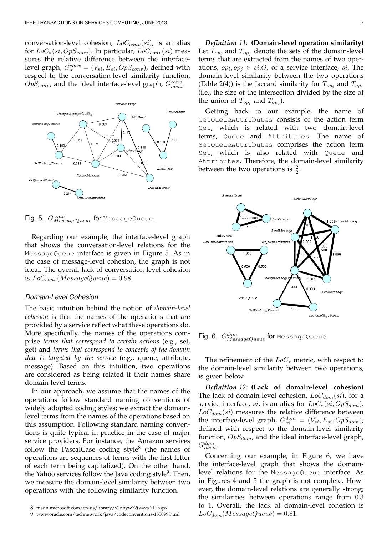conversation-level cohesion, *LoCconv*(*si*), is an alias for *LoC∗*(*si, OpSconv*). In particular, *LoCconv*(*si*) measures the relative difference between the interface- $\text{level graph}, G_{si}^{conv} = (V_{si}, E_{si}, OpS_{conv})$ , defined with respect to the conversation-level similarity function,  $OpS_{conv}$ , and the ideal interface-level graph,  $G_{ideal}^{conv}$ .



Fig. 5. *Gconv* for MessageQueue.

Regarding our example, the interface-level graph that shows the conversation-level relations for the MessageQueue interface is given in Figure 5. As in the case of message-level cohesion, the graph is not ideal. The overall lack of conversation-level cohesion is  $LoC_{conv}(MessageQueue) = 0.98$ .

## *Domain-Level Cohesion*

The basic intuition behind the notion of *domain-level cohesion* is that the names of the operations that are provided by a service reflect what these operations do. More specifically, the names of the operations comprise *terms that correspond to certain actions* (e.g., set, get) and *terms that correspond to concepts of the domain that is targeted by the service* (e.g., queue, attribute, message). Based on this intuition, two operations are considered as being related if their names share domain-level terms.

In our approach, we assume that the names of the operations follow standard naming conventions of widely adopted coding styles; we extract the domainlevel terms from the names of the operations based on this assumption. Following standard naming conventions is quite typical in practice in the case of major service providers. For instance, the Amazon services follow the PascalCase coding style<sup>8</sup> (the names of operations are sequences of terms with the first letter of each term being capitalized). On the other hand, the Yahoo services follow the Java coding style<sup>9</sup>. Then*,* we measure the domain-level similarity between two operations with the following similarity function.

*Definition 11:* **(Domain-level operation similarity)** Let  $T_{op_i}$  and  $T_{op_j}$  denote the sets of the domain-level terms that are extracted from the names of two operations,  $op_i, op_j \in si.O$ , of a service interface,  $si$ . The domain-level similarity between the two operations (Table 2(4)) is the Jaccard similarity for  $T_{op_i}$  and  $T_{op_j}$ (i.e., the size of the intersection divided by the size of the union of  $T_{op_i}$  and  $T_{op_j}$ ).

Getting back to our example, the name of GetQueueAttributes consists of the action term Get, which is related with two domain-level terms, Queue and Attributes. The name of SetQueueAttributes comprises the action term Set, which is also related with Queue and Attributes. Therefore, the domain-level similarity between the two operations is  $\frac{2}{2}$ .



Fig. 6. *Gdom MessageQueue* for MessageQueue.

The refinement of the *LoC<sup>∗</sup>* metric, with respect to the domain-level similarity between two operations, is given below.

*Definition 12:* **(Lack of domain-level cohesion)** The lack of domain-level cohesion, *LoCdom*(*si*), for a service interface, *si*, is an alias for *LoC∗*(*si, OpSdom*). *LoCdom*(*si*) measures the relative difference between the interface-level graph,  $G_{si}^{dom} = (V_{si}, E_{si}, OpS_{dom})$ , defined with respect to the domain-level similarity function, *OpSdom*, and the ideal interface-level graph, *Gdom ideal*.

Concerning our example, in Figure 6, we have the interface-level graph that shows the domainlevel relations for the MessageQueue interface. As in Figures 4 and 5 the graph is not complete. However, the domain-level relations are generally strong; the similarities between operations range from 0.3 to 1. Overall, the lack of domain-level cohesion is  $LoC_{dom}(MessageQueue) = 0.81.$ 

<sup>9.</sup> www.oracle.com/technetwork/java/codeconventions-135099.html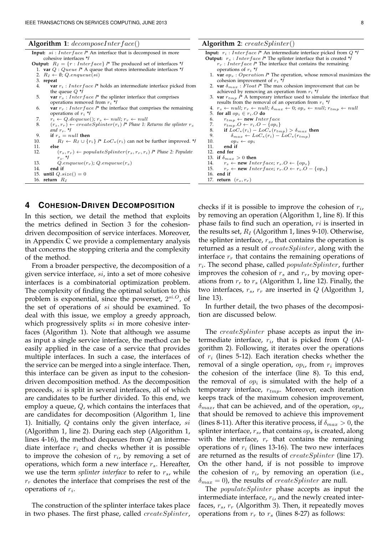**Algorithm 1**: *decomposeInterf ace*()

**Input:** *si* : *Interface* **/\*** An interface that is decomposed in more cohesive interfaces **\*/**

- **Output:**  $R_I = \{r : Interface\}$  /\* The produced set of interfaces \*/
	- 1. **var** *Q* : *Queue* **/\*** A queue that stores intermediate interfaces **\*/** 2.  $R_I \leftarrow \emptyset$ ; *Q.enqueue*(*si*)
	- 3. **repeat**
	- 4. **var** *r<sup>i</sup>* : *Interface* **/\*** holds an intermediate interface picked from the queue *Q* **\*/**
	- 5. **var** *r<sup>s</sup>* : *Interface* **/\*** the splinter interface that comprises operations removed from *r<sup>i</sup>* **\*/**
	- 6. **var**  $r_r$  : *Interface* /\* the interface that comprises the remaining operations of *r<sup>i</sup>* **\*/**
	- 7.  $r_i \leftarrow Q$ .dequeue();  $r_s \leftarrow null$ ;  $r_r \leftarrow null$ <br>8.  $(r_s, r_r) \leftarrow createSpliter(r_i)$  /\* Phase 1: 1
	- $(r_s, r_r) \leftarrow \text{createSpliter}(r_i)$  /\* Phase 1: Returns the splinter  $r_s$ *and rr.* **\*/**
- 9. **if**  $r_s = null$  then<br>10.  $R_t \leftarrow R_t \cup \{r\}$
- 10.  $R_I \leftarrow R_I \cup \{r_i\} \rightharpoonup^* LogF_* (r_i)$  can not be further improved. \*/<br>11. **else** 11. **else** 12. (*rs, rr*) *← populateSplinter*(*rs, rr, ri*) **/\*** *Phase 2: Populate*
- *rs.* **\*/** 13.  $Q.\n *Q.enqueue(r_r); Q.\n *enqueue(r_s)**$ <br>14 and if
- 14. **end if**

```
15. until Q.size() = 0
```

```
16. return RI
```
## **4 COHESION-DRIVEN DECOMPOSITION**

In this section, we detail the method that exploits the metrics defined in Section 3 for the cohesiondriven decomposition of service interfaces. Moreover, in Appendix C we provide a complementary analysis that concerns the stopping criteria and the complexity of the method.

From a broader perspective, the decomposition of a given service interface, *si*, into a set of more cohesive interfaces is a combinatorial optimization problem. The complexity of finding the optimal solution to this problem is exponential, since the powerset, 2 *si.O*, of the set of operations of *si* should be examined. To deal with this issue, we employ a greedy approach, which progressively splits *si* in more cohesive interfaces (Algorithm 1). Note that although we assume as input a single service interface, the method can be easily applied in the case of a service that provides multiple interfaces. In such a case, the interfaces of the service can be merged into a single interface. Then, this interface can be given as input to the cohesiondriven decomposition method. As the decomposition proceeds, *si* is split in several interfaces, all of which are candidates to be further divided. To this end, we employ a queue, *Q*, which contains the interfaces that are candidates for decomposition (Algorithm 1, line 1). Initially, *Q* contains only the given interface, *si* (Algorithm 1, line 2). During each step (Algorithm 1, lines 4-16), the method dequeues from *Q* an intermediate interface *r<sup>i</sup>* and checks whether it is possible to improve the cohesion of  $r_i$ , by removing a set of operations, which form a new interface *rs*. Hereafter, we use the term *splinter interface* to refer to *rs*, while *r<sup>r</sup>* denotes the interface that comprises the rest of the operations of *r<sup>i</sup>* .

The construction of the splinter interface takes place in two phases. The first phase, called *createSplinter*, **Algorithm 2**: *createSplinter*() **Input:** *r<sup>i</sup>* : *Interface* **/\*** An intermediate interface picked from *Q* **\*/ Output:** *r<sup>s</sup>* : *Interface* **/\*** The splinter interface that is created **\*/**  $r_r$ : *Interface*  $l^*$  The interface that contains the remaining operations of *r<sup>i</sup>* **\*/** 1. **var** *op<sup>s</sup>* : *Operation* **/\*** The operation, whose removal maximizes the cohesion improvement of *r<sup>i</sup>* **\*/** 2. **var**  $\delta_{max}$ :  $F$ *loat*  $/$ \* The max cohesion improvement that can be achieved by removing an operation from  $r_i$  **\*/**<br>3. **var**  $r_{tmp}$  /**\*** A temporary interface used to simulate the interface that results from the removal of an operation from *r<sup>i</sup>* **\*/** 4.  $r_s \leftarrow null; r_r \leftarrow null; \delta_{max} \leftarrow 0; op_s \leftarrow null; r_{tmp} \leftarrow null$ 5. **for all**  $op_i \in r_i$ .*O* **do** 6.  $r_{tmp} \leftarrow new \, Interface$ <br>
7  $r_{tmp} \cdot Q \leftarrow r_i \cdot Q - \{on_i\}$ 7.  $r_{tmp}.O \leftarrow r_i.O - \{op_i\}$ <br>
8. **if**  $LoC_*(r_i) - LoC_*(r_{tmp}) > \delta_{max}$  then<br>
9.  $\delta_{max} \leftarrow LoC_*(r_i) - LoC_*(r_{tmp})$ 10.  $op_s \leftarrow op_i$ <br>11. **end if** end if 12. **end for** 13. **if**  $\delta_{max} > 0$  **then** 14.  $r_s \leftarrow \textbf{new} \text{Interface}; r_s.O \leftarrow \{op_s\}$ <br>
15.  $r_s \leftarrow \textbf{new} \text{Interface}; r_s.O \leftarrow r_i.O$  $\mathbf{r} \leftarrow \textbf{new} \ Integrate; r_r \cdot \mathbf{O} \leftarrow r_i \cdot \mathbf{O} - \{op_s\}$ 16. **end if**

checks if it is possible to improve the cohesion of *r<sup>i</sup>* , by removing an operation (Algorithm 1, line 8). If this phase fails to find such an operation, *ri* is inserted in the results set, *R<sup>I</sup>* (Algorithm 1, lines 9-10). Otherwise, the splinter interface, *rs*, that contains the operation is returned as a result of *createSplinter*, along with the interface *r<sup>r</sup>* that contains the remaining operations of *ri* . The second phase, called *populateSplinter*, further improves the cohesion of *r<sup>s</sup>* and *rr*, by moving operations from *r<sup>r</sup>* to *r<sup>s</sup>* (Algorithm 1, line 12). Finally, the two interfaces,  $r_s$ ,  $r_r$  are inserted in  $Q$  (Algorithm 1, line 13).

17. **return** (*rs, rr*)

In further detail, the two phases of the decomposition are discussed below.

The *createSplinter* phase accepts as input the intermediate interface, *r<sup>i</sup>* , that is picked from *Q* (Algorithm 2). Following, it iterates over the operations of *r<sup>i</sup>* (lines 5-12). Each iteration checks whether the removal of a single operation, *op<sup>i</sup>* , from *r<sup>i</sup>* improves the cohesion of the interface (line 8). To this end, the removal of  $op_i$  is simulated with the help of a temporary interface, *rtmp*. Moreover, each iteration keeps track of the maximum cohesion improvement, *δmax*, that can be achieved, and of the operation, *ops*, that should be removed to achieve this improvement (lines 8-11). After this iterative process, if *δmax >* 0, the splinter interface, *rs*, that contains *op<sup>s</sup>* is created, along with the interface,  $r_r$  that contains the remaining operations of *r<sup>i</sup>* (lines 13-16). The two new interfaces are returned as the results of *createSplinter* (line 17). On the other hand, if is not possible to improve the cohesion of *r<sup>i</sup>* , by removing an operation (i.e.,  $\delta_{max} = 0$ , the results of *createSplinter* are null.

The *populateSplinter* phase accepts as input the intermediate interface, *r<sup>i</sup>* , and the newly created interfaces, *rs*, *r<sup>r</sup>* (Algorithm 3). Then, it repeatedly moves operations from  $r_r$  to  $r_s$  (lines 8-27) as follows: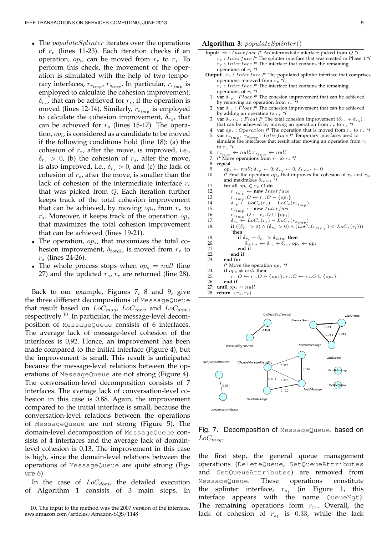- *•* The *populateSplinter* iterates over the operations of *r<sup>r</sup>* (lines 11-23). Each iteration checks if an operation, *op<sup>i</sup>* , can be moved from *r<sup>r</sup>* to *rs*. To perform this check, the movement of the operation is simulated with the help of two temporary interfaces,  $r_{r_{tmp}}$ ,  $r_{s_{tmp}}$ . In particular,  $r_{r_{tmp}}$  is employed to calculate the cohesion improvement, *δ<sup>r</sup><sup>r</sup>* , that can be achieved for *rr*, if the operation is moved (lines 12-14). Similarly, *r<sup>s</sup>tmp* is employed to calculate the cohesion improvement, *δ<sup>r</sup><sup>s</sup>* , that can be achieved for *r<sup>s</sup>* (lines 15-17). The operation, *op<sup>i</sup>* , is considered as a candidate to be moved if the following conditions hold (line 18): (a) the cohesion of *rr*, after the move, is improved, i.e.,  $\delta_{r_r}$  > 0, (b) the cohesion of  $r_s$ , after the move, is also improved, i.e.,  $\delta_{r_s} > 0$ , and (c) the lack of cohesion of *rs*, after the move, is smaller than the lack of cohesion of the intermediate interface *r<sup>i</sup>* that was picked from *Q*. Each iteration further keeps track of the total cohesion improvement that can be achieved, by moving *op<sup>i</sup>* , from *r<sup>r</sup>* to *rs*. Moreover, it keeps track of the operation *op<sup>s</sup>* that maximizes the total cohesion improvement that can be achieved (lines 19-21).
- *•* The operation, *ops*, that maximizes the total cohesion improvement,  $\delta_{total}$ , is moved from  $r_r$  to *r<sup>s</sup>* (lines 24-26).
- The whole process stops when  $op_s = null$  (line 27) and the updated *rs*, *r<sup>r</sup>* are returned (line 28).

Back to our example, Figures 7, 8 and 9, give the three different decompositions of MessageQueue that result based on *LoCmsg*, *LoCconv* and *LoCdom*, respectively  $10$ . In particular, the message-level decomposition of MessageQueue consists of 6 interfaces. The average lack of message-level cohesion of the interfaces is 0,92. Hence, an improvement has been made compared to the initial interface (Figure 4), but the improvement is small. This result is anticipated because the message-level relations between the operations of MessageQueue are not strong (Figure 4). The conversation-level decomposition consists of 7 interfaces. The average lack of conversation-level cohesion in this case is 0.88. Again, the improvement compared to the initial interface is small, because the conversation-level relations between the operations of MessageQueue are not strong (Figure 5). The domain-level decomposition of MessageQueue consists of 4 interfaces and the average lack of domainlevel cohesion is 0.13. The improvement in this case is high, since the domain-level relations between the operations of MessageQueue are quite strong (Figure 6).

In the case of *LoCdom*, the detailed execution of Algorithm 1 consists of 3 main steps. In

#### **Algorithm 3**: *populateSplinter*()

- **Input:** *ri* : *Interface* **/\*** An intermediate interface picked from *Q* **\*/** *r<sup>s</sup>* : *Interface* **/\*** The splinter interface that was created in Phase 1 **\*/** *r<sup>r</sup>* : *Interface* **/\*** The interface that contains the remaining operations of *r<sup>i</sup>* **\*/**
- **Output:**  $r_s$  : *Interface*  $l^*$  The populated splinter interface that comprises operations removed from *r<sup>r</sup>* **\*/**
	- *r<sup>r</sup>* : *Interface* **/\*** The interface that contains the remaining operations of *r<sup>i</sup>* **\*/**
	- 1. **var**  $\delta_{r_r}$ : *Float*  $\ell^*$  The cohesion improvement that can be achieved by removing an operation from *r<sup>r</sup>* **\*/** 2. **var** *δrs* : *F loat* **/\*** The cohesion improvement that can be achieved
	- by adding an operation to *r<sup>s</sup>* **\*/**
	- 3. **var**  $\delta_{total}$ : *Float*  $\ell^*$  The total cohesion improvement  $(\delta_{r_r} + \delta_{r_s})$ that can be achieved by moving an operation from  $r_r$  to  $r_s$  \*/
	- 4. **var**  $op_s$  : *Operation*  $\hat{I}^*$  The operation that is moved from  $r_r$  to  $r_s$  \*/ 5. **var**  $r_{rtmp}$ ,  $r_{stmp}$  : *Interface*  $l^*$  Temporary interfaces used to simulate the interfaces that result after moving an operation from  $r_r$ to *r<sup>s</sup>* **\*/**
	- 6. *rrtmp ← null*; *rstmp ← null* 7. **/\*** Move operations from *r<sup>r</sup>* to *r<sup>s</sup>* **\*/**
	-
	- 8. **repeat**
- 9.  $op_s \leftarrow null; \delta_{rr} \leftarrow 0; \delta_{rs} \leftarrow 0; \delta_{total} \leftarrow 0$ <br>10. /\* Find the operation  $op_s$  that improves the c  $\prime^*$  Find the operation  $op_s$  that improves the cohesion of  $r_r$  and  $r_s,$ and maximizes *δtotal* **\*/**
- 11. **for all**  $op_i \in r_r$ . O **do**<br>12. *r*<sub>*rt*</sub>  $\leftarrow$  **new** Int
- 12.  $r_{rtmp} \leftarrow new \, Interface$ <br>
13  $r_{-} \quad O \leftarrow r_{-} \, O \{on\}$
- 13.  $r_{r_{tmp}}$  *, O* ←  $r_r$  *.O* − {*op<sub><i>i*</sub>}</sup>
- 14.  $\delta_{r_r} \leftarrow \text{LoC}_*(r_r) \text{LoC}_*(r_{r_{tmp}})$
- 15.  $r_{s_{tmp}} \leftarrow \textbf{new} \text{ } Interface$ <br>16.  $r_{s} \cdot Q \leftarrow r_{s} \cdot Q \cup \{op_{i}\}\}$
- 16.  $r_{s_{tmp}}$   $O \leftarrow r_s$   $O \cup \{op_i\}$
- 17.  $\delta_{r_s} \leftarrow \text{LoC}_*(r_s) \text{LoC}_*(r_{s_{tmp}})$
- 18. **if**  $((\delta_{r_r} > 0) \land (\delta_{r_s} > 0) \land (LoC_*(r_{s_{tmp}}) < LoC_*(r_i)))$
- **then**
- 19. **if**  $\delta_{rs} + \delta_{rr} > \delta_{total}$  then<br>
20.  $\delta_{total} \leftarrow \delta_{rs} + \delta_{rr}$ ;  $op_s \leftarrow op_i$ 
	-
- 21. **end if**
- 22. **end if** end for
- **/\*** Move the operation *op<sup>s</sup>* **\*/**
- 24. **if**  $op_s \neq null$  **then**<br>25.  $r_r \cdot O \leftarrow r_r \cdot O$
- 25.  $r_r \cdot O \leftarrow r_r \cdot O \{op_s\}; r_s \cdot O \leftarrow r_s \cdot O \cup \{op_s\}$ <br>26. **end if**
- end if
- 27. **until**  $op_s = null$ <br>28. **return**  $(r_s, r_r)$  $return (r<sub>s</sub>, r<sub>r</sub>)$



# Fig. 7. Decomposition of MessageQueue, based on *LoCmsg*.

the first step, the general queue management operations (DeleteQueue, SetQueueAttributes and GetQueueAttributes) are removed from MessageQueue. These operations constitute the splinter interface,  $r_{s_1}$  (in Figure 1, this interface appears with the name QueueMgt). The remaining operations form  $r_{r_1}$ . Overall, the lack of cohesion of  $r_{s_1}$  is 0.33, while the lack

<sup>10.</sup> The input to the method was the 2007 version of the interface, aws.amazon.com/articles/Amazon-SQS/1148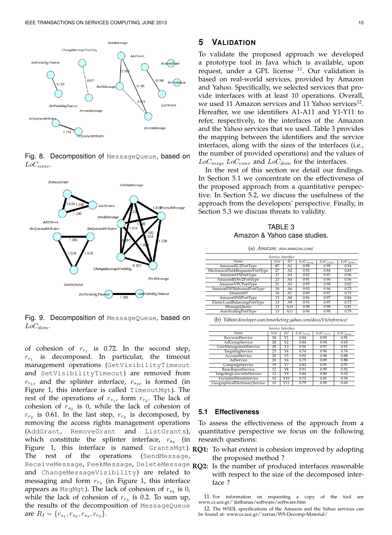

Fig. 8. Decomposition of MessageQueue, based on *LoCconv*.



Fig. 9. Decomposition of MessageQueue, based on *LoCdom*.

of cohesion of  $r_{r_1}$  is 0.72. In the second step,  $r_{r_1}$ is decomposed. In particular, the timeout management operations (GetVisibilityTimeout and SetVisibilityTimeout) are removed from  $r_{r_1}$ , and the splinter interface,  $r_{s_2}$ , is formed (in Figure 1, this interface is called TimeoutMgt). The rest of the operations of  $r_{r_1}$ , form  $r_{r_2}$ . The lack of cohesion of  $r_{s_2}$  is 0, while the lack of cohesion of  $r_{r_2}$  is 0.61. In the last step,  $r_{r_2}$  is decomposed, by removing the access rights management operations (AddGrant, RemoveGrant and ListGrants), which constitute the splinter interface,  $r_{s_3}$  (in Figure 1, this interface is named GrantsMgt). The rest of the operations (SendMessage, ReceiveMessage, PeekMessage, DeleteMessage **RQ2:** Is the number of produced interfaces reasonable and ChangeMessageVisibility) are related to messaging and form  $r_{r_3}$  (in Figure 1, this interface appears as  $MsgMgt$ ). The lack of cohesion of  $r_{s_3}$  is 0, while the lack of cohesion of  $r_{r_3}$  is 0.2. To sum up, the results of the decomposition of MessageQueue are  $R_I = \{r_{s_1}, r_{s_2}, r_{s_3}, r_{r_3}\}.$ 

## **5 VALIDATION**

To validate the proposed approach we developed a prototype tool in Java which is available, upon request, under a GPL license <sup>11</sup>. Our validation is based on real-world services, provided by Amazon and Yahoo. Specifically, we selected services that provide interfaces with at least 10 operations. Overall, we used 11 Amazon services and 11 Yahoo services<sup>12</sup>. Hereafter, we use identifiers A1-A11 and Y1-Y11 to refer, respectively, to the interfaces of the Amazon and the Yahoo services that we used. Table 3 provides the mapping between the identifiers and the service interfaces, along with the sizes of the interfaces (i.e., the number of provided operations) and the values of *LoCmsg*, *LoCconv* and *LoCdom* for the interfaces.

In the rest of this section we detail our findings. In Section 5.1 we concentrate on the effectiveness of the proposed approach from a quantitative perspective. In Section 5.2, we discuss the usefulness of the approach from the developers' perspective. Finally, in Section 5.3 we discuss threats to validity.

TABLE 3 Amazon & Yahoo case studies.

| (a) Amazon: aws.amazon.com/     |      |                |                        |              |                        |  |  |  |
|---------------------------------|------|----------------|------------------------|--------------|------------------------|--|--|--|
| Service Interface               |      |                |                        |              |                        |  |  |  |
| Name                            | Size | ID             | $\overline{LoC_{msg}}$ | $LoC_{conv}$ | $\overline{LoC_{dom}}$ |  |  |  |
| AmazonEC2PortType               | 87   | A1             | 0.98                   | 0.99         | 0.94                   |  |  |  |
| MechanicalTurkRequesterPortType | 27   | A2             | 0.92                   | 0.84         | 0.83                   |  |  |  |
| AmazonFPSPortType               | 27   | A <sub>3</sub> | 0.92                   | 0.97         | 0.96                   |  |  |  |
| AmazonRDSv2PortType             | 23   | A4             | 0.91                   | 0.96         | 0.56                   |  |  |  |
| AmazonVPCPortType               | 21   | A <sub>5</sub> | 0.95                   | 0.98         | 0.82                   |  |  |  |
| AmazonFWSInboundPortType        | 18   | A6             | 0.93                   | 0.96         | 0.73                   |  |  |  |
| Amazon <sub>S3</sub>            | 16   | A7             | 0.89                   | 0.97         | 0.75                   |  |  |  |
| AmazonSNSPortType               | 13   | A8             | 0.96                   | 0.97         | 0.84                   |  |  |  |
| ElasticLoadBalancingPortType    | 13   | A9             | 0.93                   | 0.97         | 0.72                   |  |  |  |
| MessageQueue                    | 13   | A10            | 0.98                   | 0.98         | 0.81                   |  |  |  |
| AutoScalingPortType             | 13   | A11            | 0.96                   | 0.98         | 0.79                   |  |  |  |

(b) *Yahoo:developer.searchmarketing.yahoo.com/docs/V6/reference/*

| Service Interface             |      |                 |                        |                         |                        |  |  |
|-------------------------------|------|-----------------|------------------------|-------------------------|------------------------|--|--|
| Name                          | Size | ID              | $\overline{Loc}_{msq}$ | $\overline{LoC_{conv}}$ | $\overline{LoC_{dom}}$ |  |  |
| KeywordService                | 34   | Y1              | 0.84                   | 0.93                    | 0.91                   |  |  |
| AdGroupService                | 28   | Y2              | 0.84                   | 0.94                    | 0.65                   |  |  |
| <b>UserManagementService</b>  | 28   | Y3              | 0.96                   | 0.97                    | 0.91                   |  |  |
| <b>TargetingService</b>       | 23   | $\overline{Y4}$ | 0.74                   | 0.96                    | 0.74                   |  |  |
| <b>AccountService</b>         | 20   | Y5              | 0.92                   | 0.98                    | 0.88                   |  |  |
| AdService                     | 20   | Y6              | 0.79                   | 0.89                    | 0.88                   |  |  |
| CampaignService               | 19   | Y7              | 0.83                   | 0.91                    | 0.91                   |  |  |
| <b>BasicReportService</b>     | 12   | Y8              | 0.91                   | 0.99                    | 0.92                   |  |  |
| TargetingConverterService     | 12   | Y9              | 0.84                   | 0.80                    | 0.53                   |  |  |
| <b>ExcludedWordsService</b>   | 10   | Y10             | 0.72                   | 0.81                    | 0.54                   |  |  |
| GeographicalDictionaryService | 10   | Y11             | 0.79                   | 0.99                    | 0.65                   |  |  |

#### **5.1 Effectiveness**

To assess the effectiveness of the approach from a quantitative perspective we focus on the following research questions:

- **RQ1:** To what extent is cohesion improved by adopting the proposed method ?
	- with respect to the size of the decomposed interface ?

11. For information on requesting a copy of the tool see www.cs.uoi.gr/˜dathanas/software/software.htm

12. The WSDL specifications of the Amazon and the Yahoo services can be found at: www.cs.uoi.gr/˜zarras/WS-Decomp-Material/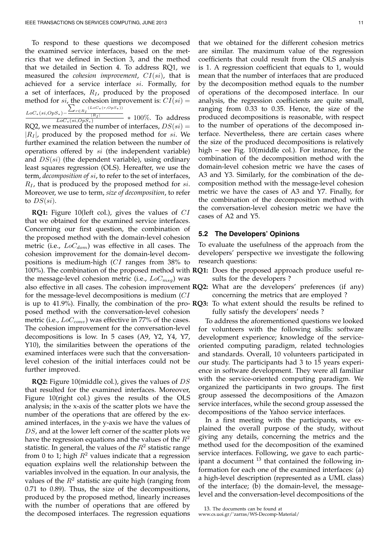To respond to these questions we decomposed the examined service interfaces, based on the metrics that we defined in Section 3, and the method that we detailed in Section 4. To address RQ1, we measured the *cohesion improvement*, *CI*(*si*), that is achieved for a service interface *si*. Formally, for a set of interfaces, *R<sup>I</sup>* , produced by the proposed method for  $si$ , the cohesion improvement is:  $CI(s_i)$  =  $\sum_{r \in R_I} (LoC_*(r,OpS_*))$ 

*LoC∗*(*si,OpS∗*)*− |RI |*  $\frac{S_*}{LoC_*(si, OppS_*)}$ *∗* 100%. To address RQ2, we measured the number of interfaces,  $DS(ii)$  = *|R<sup>I</sup> |*, produced by the proposed method for *si*. We further examined the relation between the number of operations offered by *si* (the independent variable) and *DS*(*si*) (the dependent variable), using ordinary least squares regression (OLS). Hereafter, we use the term, *decomposition of si*, to refer to the set of interfaces, *R<sup>I</sup>* , that is produced by the proposed method for *si*. Moreover, we use to term, *size of decomposition*, to refer to *DS*(*si*).

**RQ1:** Figure 10(left col.), gives the values of *CI* that we obtained for the examined service interfaces. Concerning our first question, the combination of the proposed method with the domain-level cohesion metric (i.e., *LoCdom*) was effective in all cases. The cohesion improvement for the domain-level decompositions is medium-high (*CI* ranges from 38% to 100%). The combination of the proposed method with **RQ1:** Does the proposed approach produce useful rethe message-level cohesion metric (i.e., *LoCmsg*) was also effective in all cases. The cohesion improvement **RQ2:** What are the developers' preferences (if any) for the message-level decompositions is medium (*CI* is up to 41.9%). Finally, the combination of the pro-**RQ3:** To what extent should the results be refined to posed method with the conversation-level cohesion metric (i.e., *LoCconv*) was effective in 77% of the cases. The cohesion improvement for the conversation-level decompositions is low. In 5 cases (A9, Y2, Y4, Y7, Y10), the similarities between the operations of the examined interfaces were such that the conversationlevel cohesion of the initial interfaces could not be further improved.

**RQ2:** Figure 10(middle col.), gives the values of *DS* that resulted for the examined interfaces. Moreover, Figure 10(right col.) gives the results of the OLS analysis; in the x-axis of the scatter plots we have the number of the operations that are offered by the examined interfaces, in the y-axis we have the values of *DS*, and at the lower left corner of the scatter plots we have the regression equations and the values of the *R*<sup>2</sup> statistic. In general, the values of the  $R^2$  statistic range from 0 to 1; high  $R^2$  values indicate that a regression equation explains well the relationship between the variables involved in the equation. In our analysis, the values of the  $R^2$  statistic are quite high (ranging from 0.71 to 0.89). Thus, the size of the decompositions, produced by the proposed method, linearly increases with the number of operations that are offered by the decomposed interfaces. The regression equations that we obtained for the different cohesion metrics are similar. The maximum value of the regression coefficients that could result from the OLS analysis is 1. A regression coefficient that equals to 1, would mean that the number of interfaces that are produced by the decomposition method equals to the number of operations of the decomposed interface. In our analysis, the regression coefficients are quite small, ranging from 0.33 to 0.35. Hence, the size of the produced decompositions is reasonable, with respect to the number of operations of the decomposed interface. Nevertheless, there are certain cases where the size of the produced decompositions is relatively high – see Fig. 10(middle col.). For instance, for the combination of the decomposition method with the domain-level cohesion metric we have the cases of A3 and Y3. Similarly, for the combination of the decomposition method with the message-level cohesion metric we have the cases of A3 and Y7. Finally, for the combination of the decomposition method with the conversation-level cohesion metric we have the cases of A2 and Y5.

### **5.2 The Developers' Opinions**

To evaluate the usefulness of the approach from the developers' perspective we investigate the following research questions:

- sults for the developers ?
- concerning the metrics that are employed ?
- fully satisfy the developers' needs ?

To address the aforementioned questions we looked for volunteers with the following skills: software development experience; knowledge of the serviceoriented computing paradigm, related technologies and standards. Overall, 10 volunteers participated in our study. The participants had 3 to 15 years experience in software development. They were all familiar with the service-oriented computing paradigm. We organized the participants in two groups. The first group assessed the decompositions of the Amazon service interfaces, while the second group assessed the decompositions of the Yahoo service interfaces.

In a first meeting with the participants, we explained the overall purpose of the study, without giving any details, concerning the metrics and the method used for the decomposition of the examined service interfaces. Following, we gave to each participant a document  $^{13}$  that contained the following information for each one of the examined interfaces: (a) a high-level description (represented as a UML class) of the interface; (b) the domain-level, the messagelevel and the conversation-level decompositions of the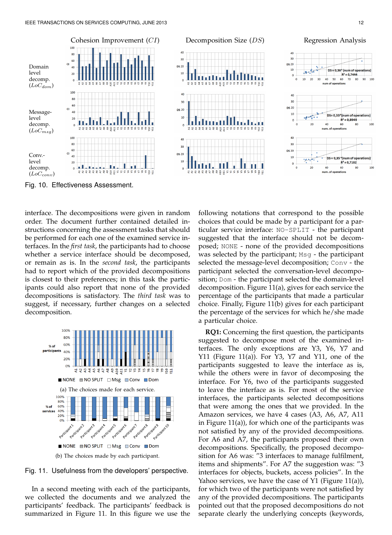

Fig. 10. Effectiveness Assessment.

interface. The decompositions were given in random order. The document further contained detailed instructions concerning the assessment tasks that should be performed for each one of the examined service interfaces. In the *first task*, the participants had to choose whether a service interface should be decomposed, or remain as is. In the *second task*, the participants had to report which of the provided decompositions is closest to their preferences; in this task the participants could also report that none of the provided decompositions is satisfactory. The *third task* was to suggest, if necessary, further changes on a selected decomposition.



Fig. 11. Usefulness from the developers' perspective.

In a second meeting with each of the participants, we collected the documents and we analyzed the participants' feedback. The participants' feedback is summarized in Figure 11. In this figure we use the following notations that correspond to the possible choices that could be made by a participant for a particular service interface: NO-SPLIT - the participant suggested that the interface should not be decomposed; NONE - none of the provided decompositions was selected by the participant; Msg - the participant selected the message-level decomposition; Conv - the participant selected the conversation-level decomposition; Dom - the participant selected the domain-level decomposition. Figure 11(a), gives for each service the percentage of the participants that made a particular choice. Finally, Figure 11(b) gives for each participant the percentage of the services for which he/she made a particular choice.

**RQ1:** Concerning the first question, the participants suggested to decompose most of the examined interfaces. The only exceptions are Y3, Y6, Y7 and Y11 (Figure 11(a)). For Y3, Y7 and Y11, one of the participants suggested to leave the interface as is, while the others were in favor of decomposing the interface. For Y6, two of the participants suggested to leave the interface as is. For most of the service interfaces, the participants selected decompositions that were among the ones that we provided. In the Amazon services, we have 4 cases (A3, A6, A7, A11 in Figure 11(a)), for which one of the participants was not satisfied by any of the provided decompositions. For A6 and A7, the participants proposed their own decompositions. Specifically, the proposed decomposition for A6 was: "3 interfaces to manage fulfilment, items and shipments". For A7 the suggestion was: "3 interfaces for objects, buckets, access policies". In the Yahoo services, we have the case of Y1 (Figure 11(a)), for which two of the participants were not satisfied by any of the provided decompositions. The participants pointed out that the proposed decompositions do not separate clearly the underlying concepts (keywords,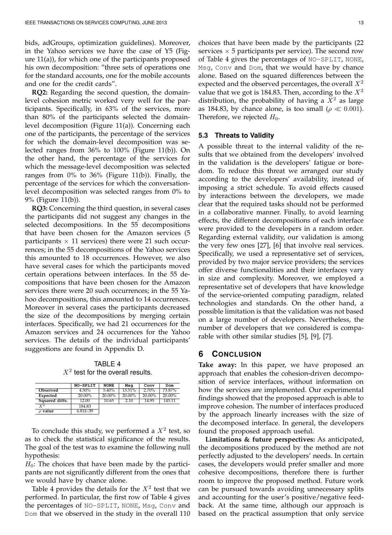bids, adGroups, optimization guidelines). Moreover, in the Yahoo services we have the case of Y5 (Figure 11(a)), for which one of the participants proposed his own decomposition: "three sets of operations one for the standard accounts, one for the mobile accounts and one for the credit cards".

**RQ2:** Regarding the second question, the domainlevel cohesion metric worked very well for the participants. Specifically, in 63% of the services, more than 80% of the participants selected the domainlevel decomposition (Figure 11(a)). Concerning each one of the participants, the percentage of the services for which the domain-level decomposition was selected ranges from 36% to 100% (Figure 11(b)). On the other hand, the percentage of the services for which the message-level decomposition was selected ranges from  $0\%$  to  $36\%$  (Figure 11(b)). Finally, the percentage of the services for which the conversationlevel decomposition was selected ranges from 0% to 9% (Figure 11(b)).

**RQ3:** Concerning the third question, in several cases the participants did not suggest any changes in the selected decompositions. In the 55 decompositions that have been chosen for the Amazon services (5 participants  $\times$  11 services) there were 21 such occurrences; in the 55 decompositions of the Yahoo services this amounted to 18 occurrences. However, we also have several cases for which the participants moved certain operations between interfaces. In the 55 decompositions that have been chosen for the Amazon services there were 20 such occurrences; in the 55 Yahoo decompositions, this amounted to 14 occurrences. Moreover in several cases the participants decreased the size of the decompositions by merging certain interfaces. Specifically, we had 21 occurrences for the Amazon services and 24 occurrences for the Yahoo services. The details of the individual participants' suggestions are found in Appendix D.

TABLE 4  $X<sup>2</sup>$  test for the overall results.

|                          | NO-SPLIT | <b>NONE</b> | Msa    | Conv   | Dom    |
|--------------------------|----------|-------------|--------|--------|--------|
| Observed                 | 4.50%    | 5.40%       | 13.51% | 2.70%  | 73.87% |
| Expected                 | 20.00%   | 20.00%      | 20.00% | 20.00% | 20.00% |
| Squared diffs.           | 12.00    | 10.65       | 2.10   | 14.95  | 145.11 |
| $Y^2$                    | 184.83   |             |        |        |        |
| $\scriptstyle\rho$ value | 6.81E-39 |             |        |        |        |

To conclude this study, we performed a  $X^2$  test, so as to check the statistical significance of the results. The goal of the test was to examine the following null hypothesis:

 $H_0$ : The choices that have been made by the participants are not significantly different from the ones that we would have by chance alone.

Table 4 provides the details for the  $X^2$  test that we performed. In particular, the first row of Table 4 gives the percentages of NO-SPLIT, NONE, Msg, Conv and Dom that we observed in the study in the overall 110

choices that have been made by the participants (22 services *×* 5 participants per service). The second row of Table 4 gives the percentages of NO-SPLIT, NONE, Msg, Conv and Dom, that we would have by chance alone. Based on the squared differences between the expected and the observed percentages, the overall *X*<sup>2</sup> value that we got is 184.83. Then, according to the  $X^2$ distribution, the probability of having a  $X^2$  as large as 184.83, by chance alone, is too small ( $\rho \ll 0.001$ ). Therefore, we rejected  $H_0$ .

### **5.3 Threats to Validity**

A possible threat to the internal validity of the results that we obtained from the developers' involved in the validation is the developers' fatigue or boredom. To reduce this threat we arranged our study according to the developers' availability, instead of imposing a strict schedule. To avoid effects caused by interactions between the developers, we made clear that the required tasks should not be performed in a collaborative manner. Finally, to avoid learning effects, the different decompositions of each interface were provided to the developers in a random order. Regarding external validity, our validation is among the very few ones [27], [6] that involve real services. Specifically, we used a representative set of services, provided by two major service providers; the services offer diverse functionalities and their interfaces vary in size and complexity. Moreover, we employed a representative set of developers that have knowledge of the service-oriented computing paradigm, related technologies and standards. On the other hand, a possible limitation is that the validation was not based on a large number of developers. Nevertheless, the number of developers that we considered is comparable with other similar studies [5], [9], [7].

## **6 CONCLUSION**

**Take away:** In this paper, we have proposed an approach that enables the cohesion-driven decomposition of service interfaces, without information on how the services are implemented. Our experimental findings showed that the proposed approach is able to improve cohesion. The number of interfaces produced by the approach linearly increases with the size of the decomposed interface. In general, the developers found the proposed approach useful.

**Limitations & future perspectives:** As anticipated, the decompositions produced by the method are not perfectly adjusted to the developers' needs. In certain cases, the developers would prefer smaller and more cohesive decompositions, therefore there is further room to improve the proposed method. Future work can be pursued towards avoiding unnecessary splits and accounting for the user's positive/negative feedback. At the same time, although our approach is based on the practical assumption that only service